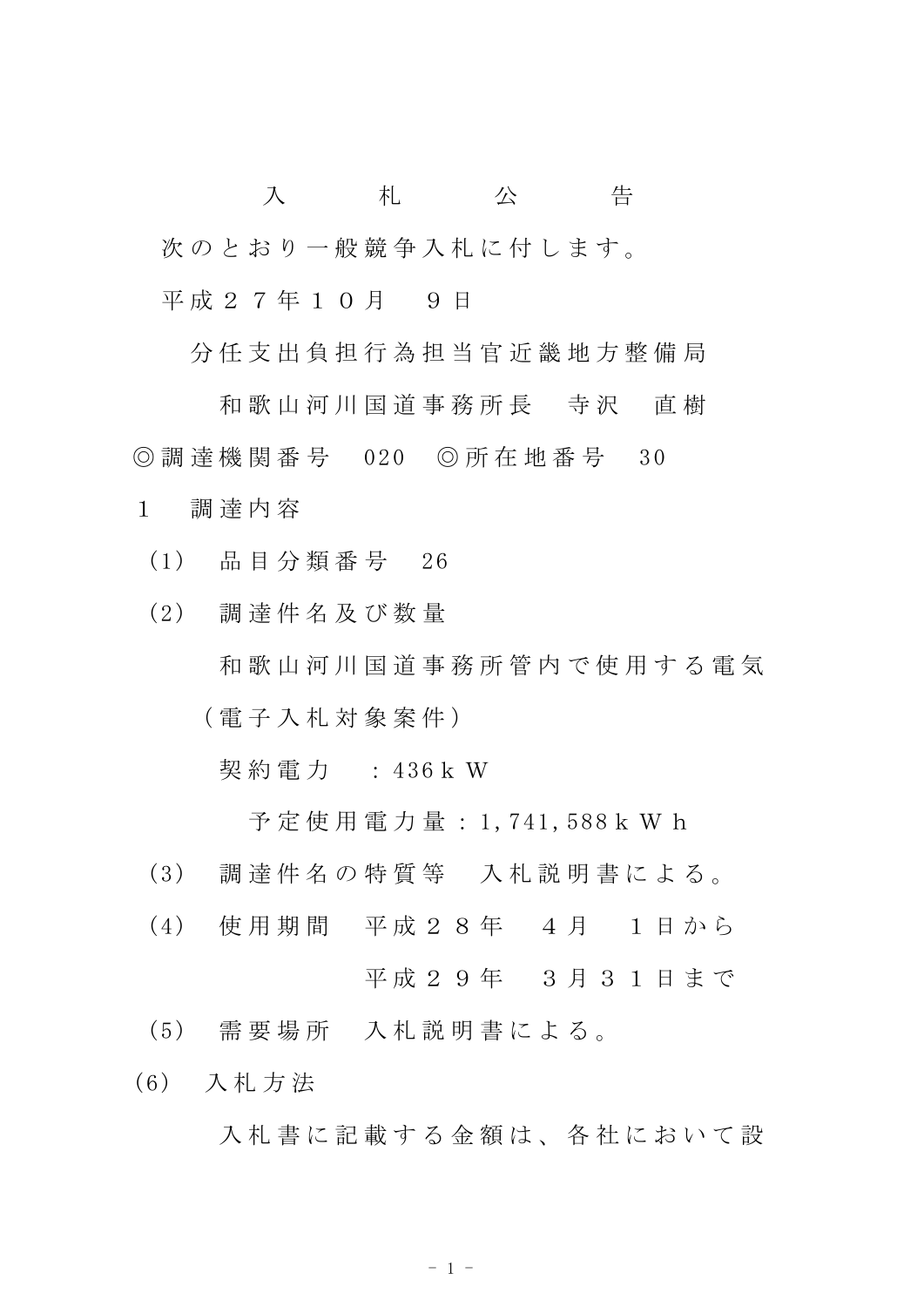入 札 公 告 次のとおり一般競争入札に付します。 平成 2 7 年 1 0 月 9 日

分 任 支 出 負 担 行 為 担 当 官 近 畿 地 方 整 備 局

和 歌 山 河 川 国 道 事 務 所 長 寺 沢 直 樹 ◎ 調 達 機 関 番 号 020 ◎ 所 在 地 番 号 30

- 1 調 達 内 容
	- (1) 品 目 分 類 番 号 26
	- (2) 調 達 件 名 及 び 数 量
		- 和 歌 山 河 川 国 道 事 務 所 管 内 で 使 用 す る 電 気
		- ( 電 子 入 札 対 象 案 件 )

契 約 電 力 : 436k W

予 定 使 用 電 力 量 : 1,741,588k W h

- (3) 調 達 件 名 の 特 質 等 入 札 説 明 書 に よ る 。
- (4) 使 用 期 間 平 成 2 8 年 4 月 1 日 か ら 平成29年 3月31日まで
- (5) 需 要 場 所 入 札 説 明 書 に よ る 。
- (6) 入 札 方 法

入札書に記載する金額は、各社において設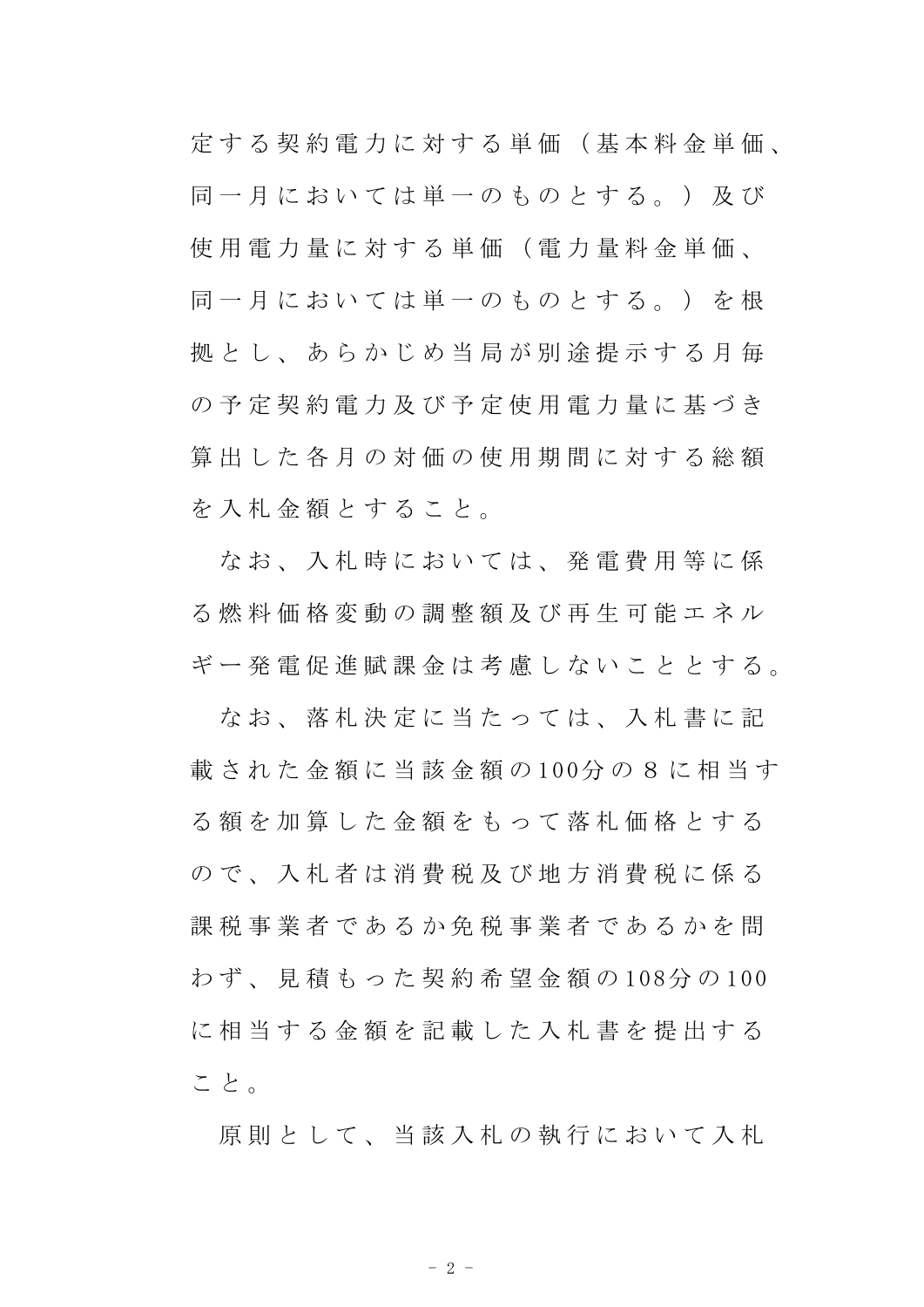定 す る 契 約 電 力 に 対 す る 単 価 ( 基 本 料 金 単 価 、 同一月においては単一のものとする。) 及び 使 用 電 力 量 に 対 す る 単 価 ( 電 力 量 料 金 単 価 、 同一月においては単一のものとする。)を根 拠 と し、 あ ら か じ め 当 局 が 別 涂 提 示 す る 月 毎 の 予 定 契 約 雷 力 及 び 予 定 使 用 雷 力 量 に 基 づ き 算 出 し た 各 月 の 対 価 の 使 用 期 間 に 対 す る 総 額 を 入 札 金 額 と す る こ と 。

なお、入札時においては、発電費用等に係 る 燃 料 価 格 変 動 の 調 整 額 及 び 再 生 可 能 エ ネ ル ギ ー 発 電 促 進 賦 課 金 は 考 慮 し な い こ と と す る 。

なお、落札決定に当たっては、入札書に記 載 さ れ た 金 額 に 当 該 金 額 の 100分 の 8 に 相 当 す る 額 を 加 算 し た 金 額 を も っ て 落 札 価 格 と す る の で 、 入 札 者 は 消 費 税 及 び 地 方 消 費 税 に 係 る 課税事業者であるか免税事業者であるかを問 わ ず 、 見 積 も っ た 契 約 希 望 金 額 の 108分 の 100 に相当する金額を記載した入札書を提出する こと。

原則として、当該入札の執行において入札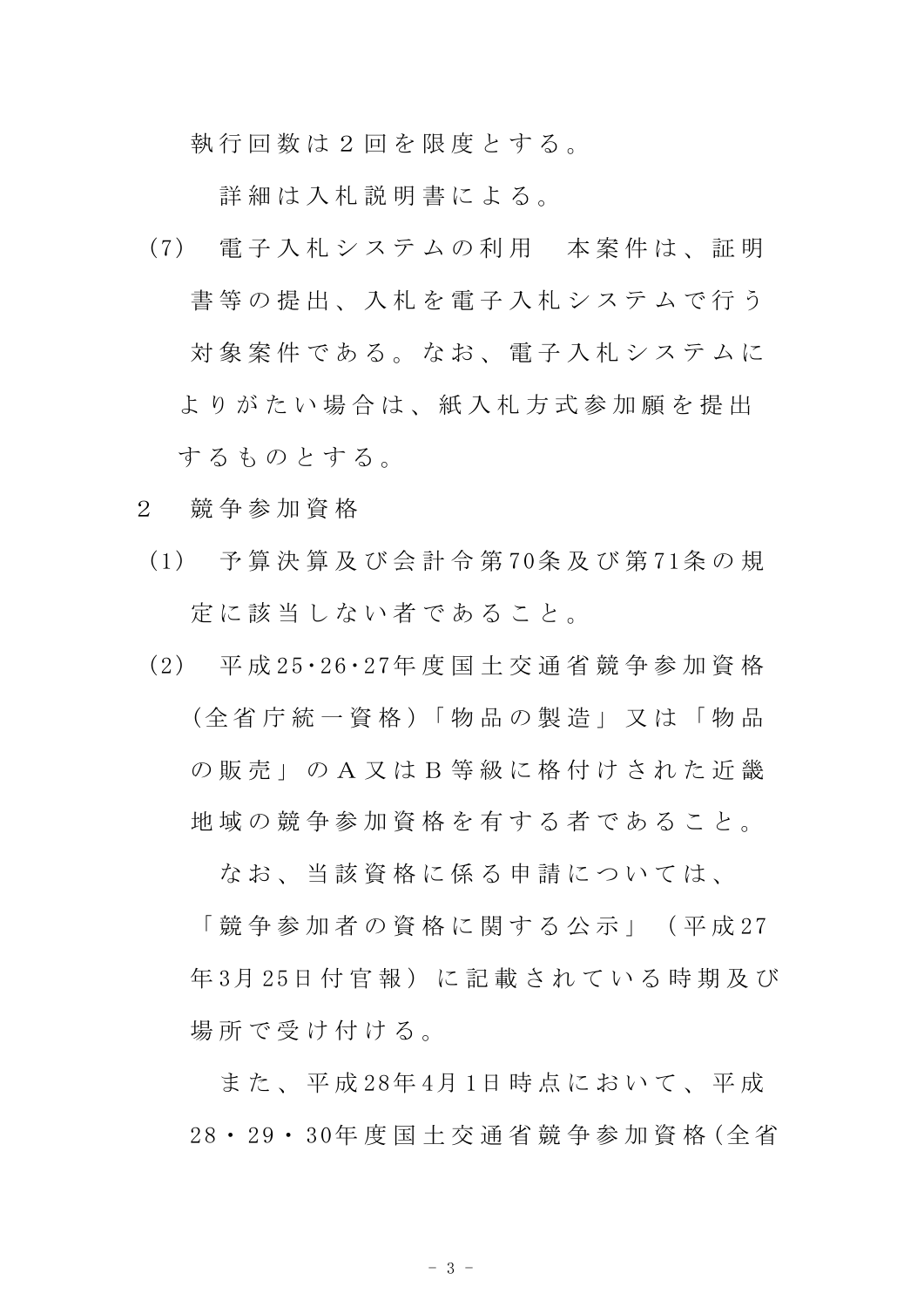執 行 回 数 は 2 回 を 限 度 と す る 。

詳細は入札説明書による。

- (7) 電 子 入 札 シ ス テ ム の 利 用 本 案 件 は 、 証 明 書等の提出、入札を雷子入札システムで行う 対象案件である。なお、電子入札システムに よりがたい場合は、紙入札方式参加願を提出 するものとする。
- 2 競 争 参 加 資 格
	- (1) 予 算 決 算 及 び 会 計 令 第 70条 及 び 第 71条 の 規 定 に 該 当 し な い 者 で あ る こ と 。
	- (2) 平 成 25・26・27年 度 国 土 交 通 省 競 争 参 加 資 格 (全省庁統一資格)「物品の製造」又は「物品 の 販 売 」 の A 又 は B 等 級 に 格 付 け さ れ た 近 畿 地 域 の 競 争 参 加 資 格 を 有 す る 者 で あ る こ と 。

**なお、 当 該 資 格 に 係 る 申 請 に つ い て は 、** 

「 競 争 参 加 者 の 資 格 に 関 す る 公 示 」 ( 平 成 27 年 3月 25日 付 官 報) に 記 載 さ れ て い る 時 期 及 び 場 所 で 受 け 付 け る 。

また、平成28年4月1日時点において、平成 28・ 29・ 30年 度 国 土 交 通 省 競 争 参 加 資 格 (全 省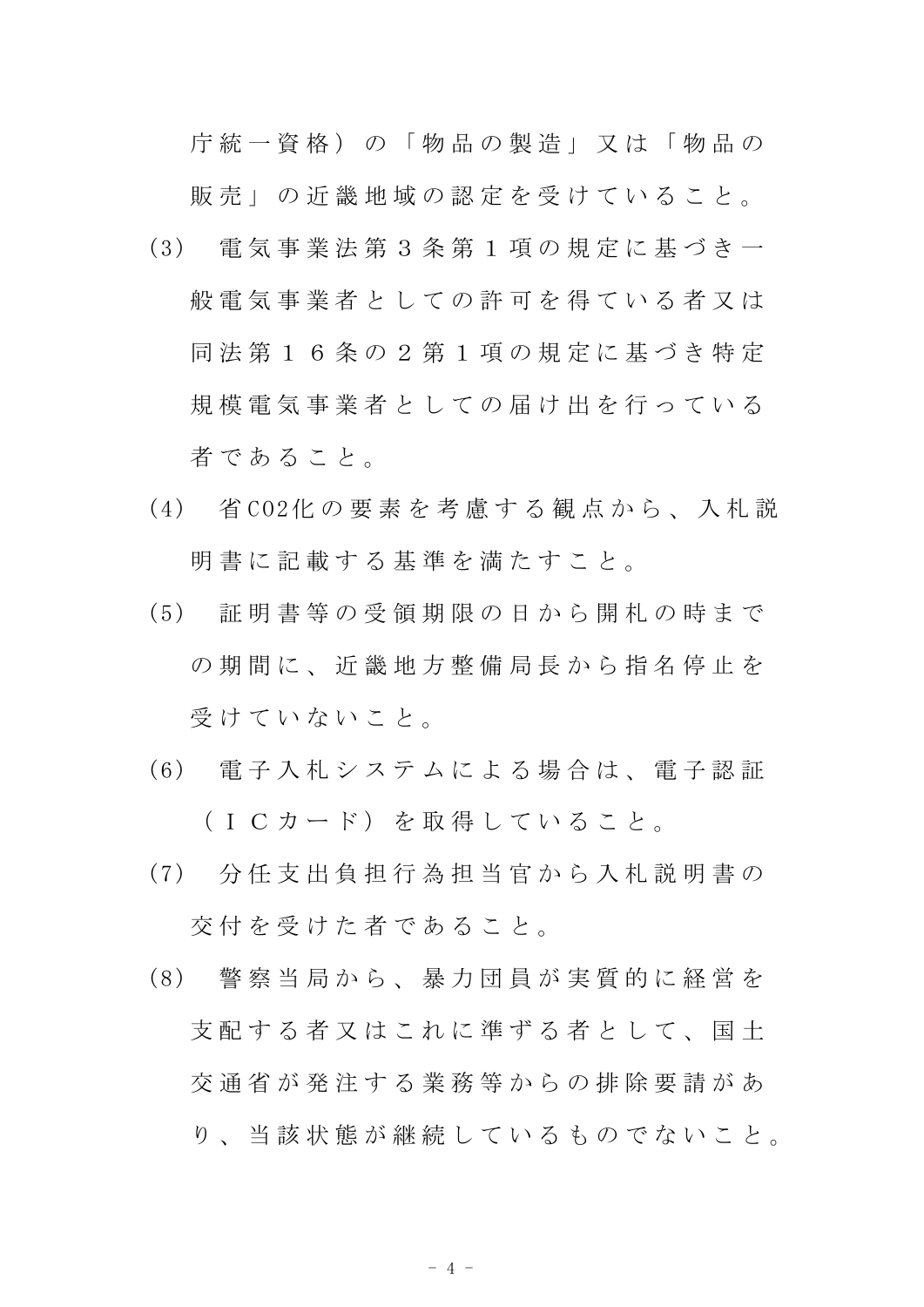庁 統 一 資 格 ) の 「 物 品 の 製 造 」 又 は 「 物 品 の

販 売 」 の 近 畿 地 域 の 認 定 を 受 け て い る こ と 。

- (3) 電 気 事 業 法 第 3 条 第 1 項 の 規 定 に 基 づ き 一 般 電 気 事 業 者 と し て の 許 可 を 得 て い る 者 又 は 同 法 第 1 6 条 の 2 第 1 項 の 規 定 に 基 づ き 特 定 規模 電 気 事 業 者 と し て の 届 け 出 を 行 っ て い る 者 で あ る こ と 。
- (4) 省 CO2化 の 要 素 を 考 慮 す る 観 点 か ら 、 入 札 説 明 書 に 記 載 す る 基 準 を 満 た す こ と 。
- (5) 証 明 書 等 の 受 領 期 限 の 日 か ら 開 札 の 時 ま で の 期 間 に 、 近 畿 地 方 整 備 局 長 か ら 指 名 停 止 を 受 け て い な い こ と 。
- (6) 電 子 入 札 シ ス テ ム に よ る 場 合 は 、 電 子 認 証 (ICカード) を取得していること。
- (7) 分 任 支 出 負 担 行 為 担 当 官 か ら 入 札 説 明 書 の 交 付 を 受 け た 者 で あ る こ と 。
- (8) 警 察 当 局 か ら 、 暴 力 団 員 が 実 質 的 に 経 営 を 支 配 す る 者 又 は こ れ に 準 ず る 者 と し て 、 国 十 交 通 省 が 発 注 す る 業 務 等 か ら の 排 除 要 請 が あ り、 当 該 状 熊 が 継 続 し て い る も の で な い こ と 。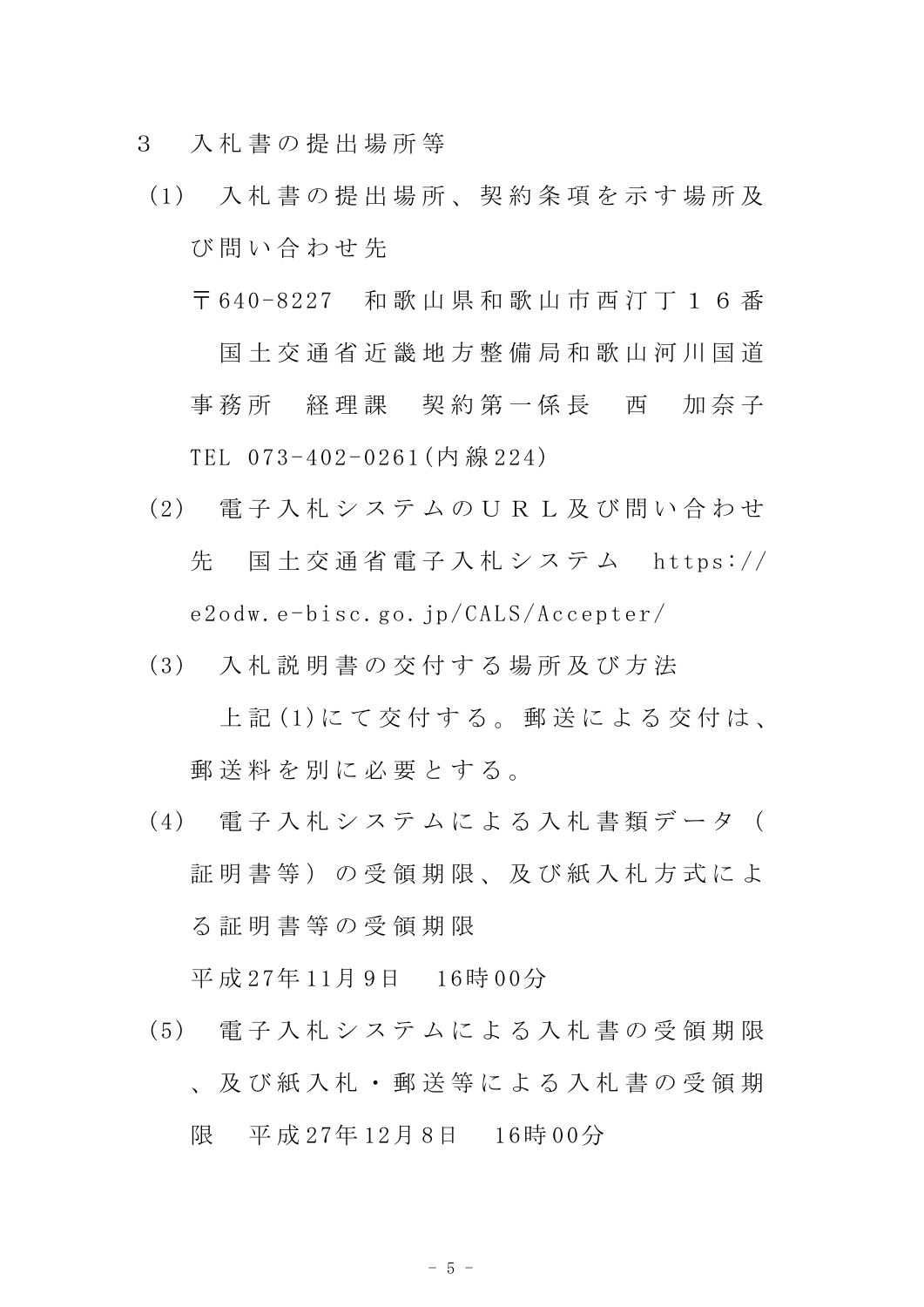- 3 入 札 書 の 提 出 場 所 等
	- (1) 入 札 書 の 提 出 場 所 、 契 約 条 項 を 示 す 場 所 及 び 問 い 合 わ せ 先
		- 〒 640-8227 和 歌 山 県 和 歌 山 市 西 汀 丁 1 6 番 国土交通省近畿地方整備局和歌山河川国道 事務所 経理課 契約第一係長 西 加奈子 TEL 073-402-0261(内 線 224)
	- (2) 電 子 入 札 シ ス テ ム の U R L 及 び 問 い 合 わ せ 先 国 土 交 通 省 電 子 入 札 シ ス テ ム https:// e2odw.e-bisc.go.jp/CALS/Accepter/
	- (3) 入 札 説 明 書 の 交 付 す る 場 所 及 び 方 法

上記(1)にて交付する。郵送による交付は、 郵送料を別に必要とする。

(4) 電 子 入 札 シ ス テ ム に よ る 入 札 書 類 デ ー タ ( 証 明 書 等 ) の 受 領 期 限 、 及 び 紙 入 札 方 式 に よ る 証 明 書 等 の 受 領 期 限

平 成 27年 11月 9日 16時 00分

(5) 電 子 入 札 シ ス テ ム に よ る 入 札 書 の 受 領 期 限 、 及 び 紙 入 札 ・ 郵 送 等 に よ る 入 札 書 の 受 領 期 限 平 成 27年 12月 8日 16時 00分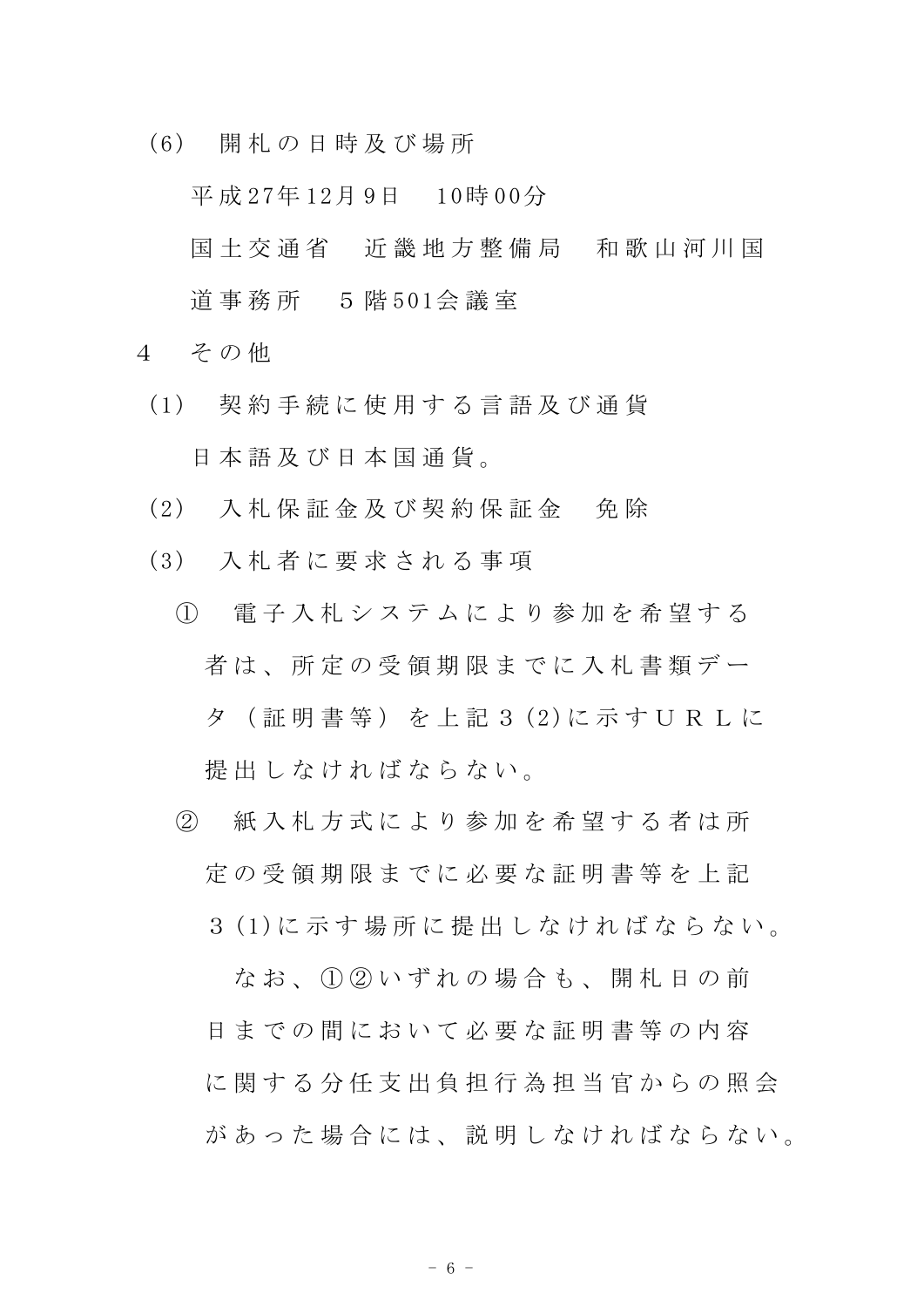(6) 開 札 の 日 時 及 び 場 所

平 成 27年 12月 9日 10時 00分

- 国土 交 通 省 近 畿 地 方 整 備 局 和 歌 山 河 川 国 道 事 務 所 5 階 501会 議 室
- 4 その他
	- (1) 契 約 手 続 に 使 用 す る 言 語 及 び 通 貨 日 本 語 及 び 日 本 国 通 貨 。
	- (2) 入 札 保 証 金 及 び 契 約 保 証 金 免 除
	- (3) 入 札 者 に 要 求 さ れ る 事 項
		- ① 電 子 入 札 シ ス テ ム に よ り 参 加 を 希 望 す る 者は、所定の受領期限までに入札書類デー タ ( 証 明 書 等 ) を 上 記 3 (2)に 示 す U R L に 提 出 し な け れ ば な ら な い 。
		- ② 紙 入 札 方 式 に よ り 参 加 を 希 望 す る 者 は 所 定 の 受 領 期 限 ま で に 必 要 な 証 明 書 等 を 上 記
			- 3 (1)に 示 す 場 所 に 提 出 し な け れ ば な ら な い 。

なお、1020いずれの場合も、開札日の前 日までの間において必要な証明書等の内容 に関する分任支出負担行為担当官からの照会 があった場合には、説明しなければならない。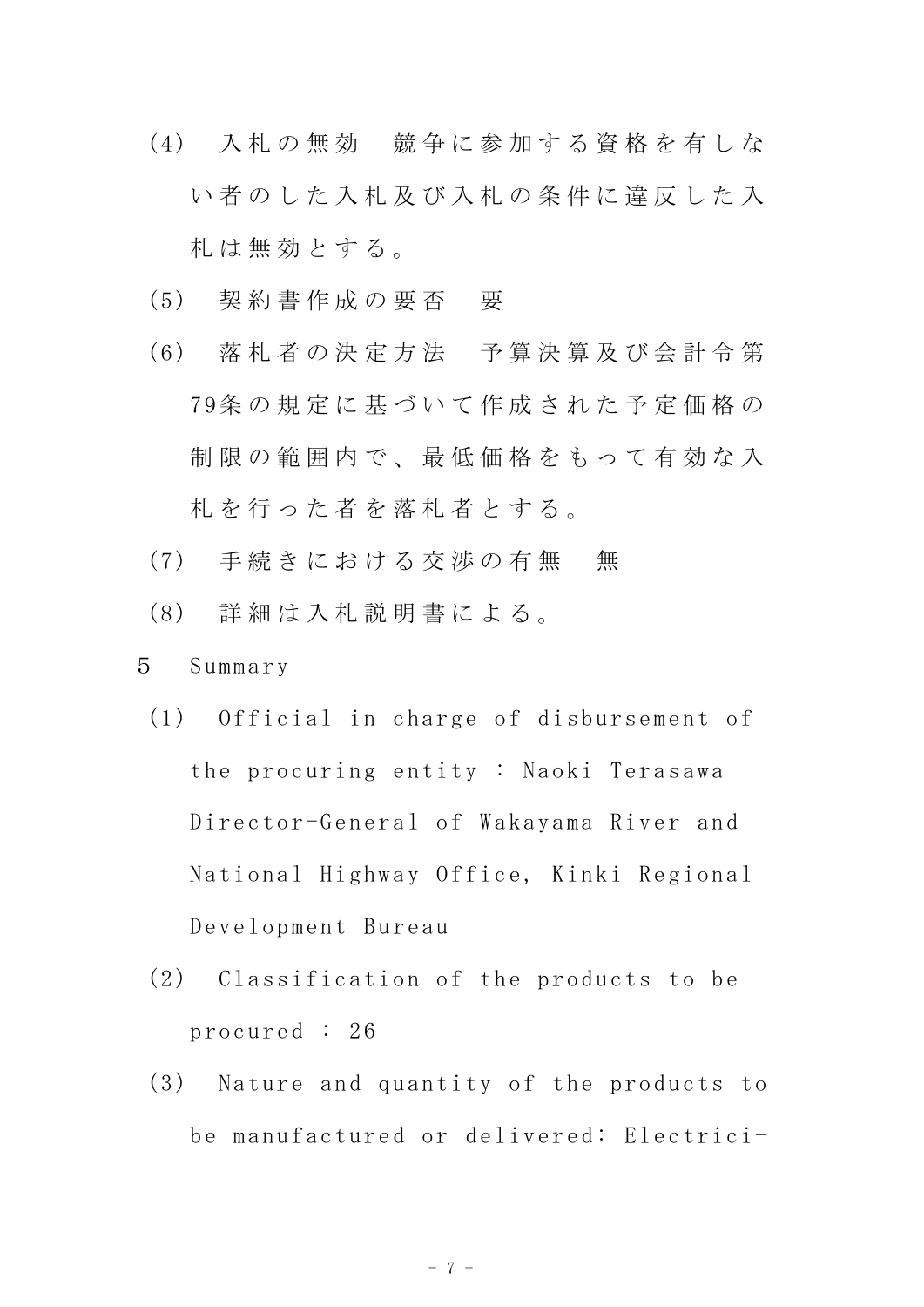- (4) 入 札 の 無 効 競 争 に 参 加 す る 資 格 を 有 し な い者のした入札及び入札の条件に違反した入 札 は 無 効 と す る 。
- (5) 契 約 書 作 成 の 要 否 要
- (6) 落 札 者 の 決 定 方 法 予 算 決 算 及 び 会 計 令 第 79条 の 規 定 に 基 づ い て 作 成 さ れ た 予 定 価 格 の 制限の範囲内で、最低価格をもって有効な入 札 を 行 っ た 者 を 落 札 者 と す る 。
- (7) 手続きにおける交渉の有無 無
- (8) 詳 細 は 入 札 説 明 書 に よ る 。
- 5 Summary
	- (1) Official in charge of disbursement of the procuring entity : Naoki Terasawa Director-General of Wakayama River and National Highway Office, Kinki Regional Development Bureau
	- (2) Classification of the products to be procured : 26
	- (3) Nature and quantity of the products to be manufactured or delivered: Electrici-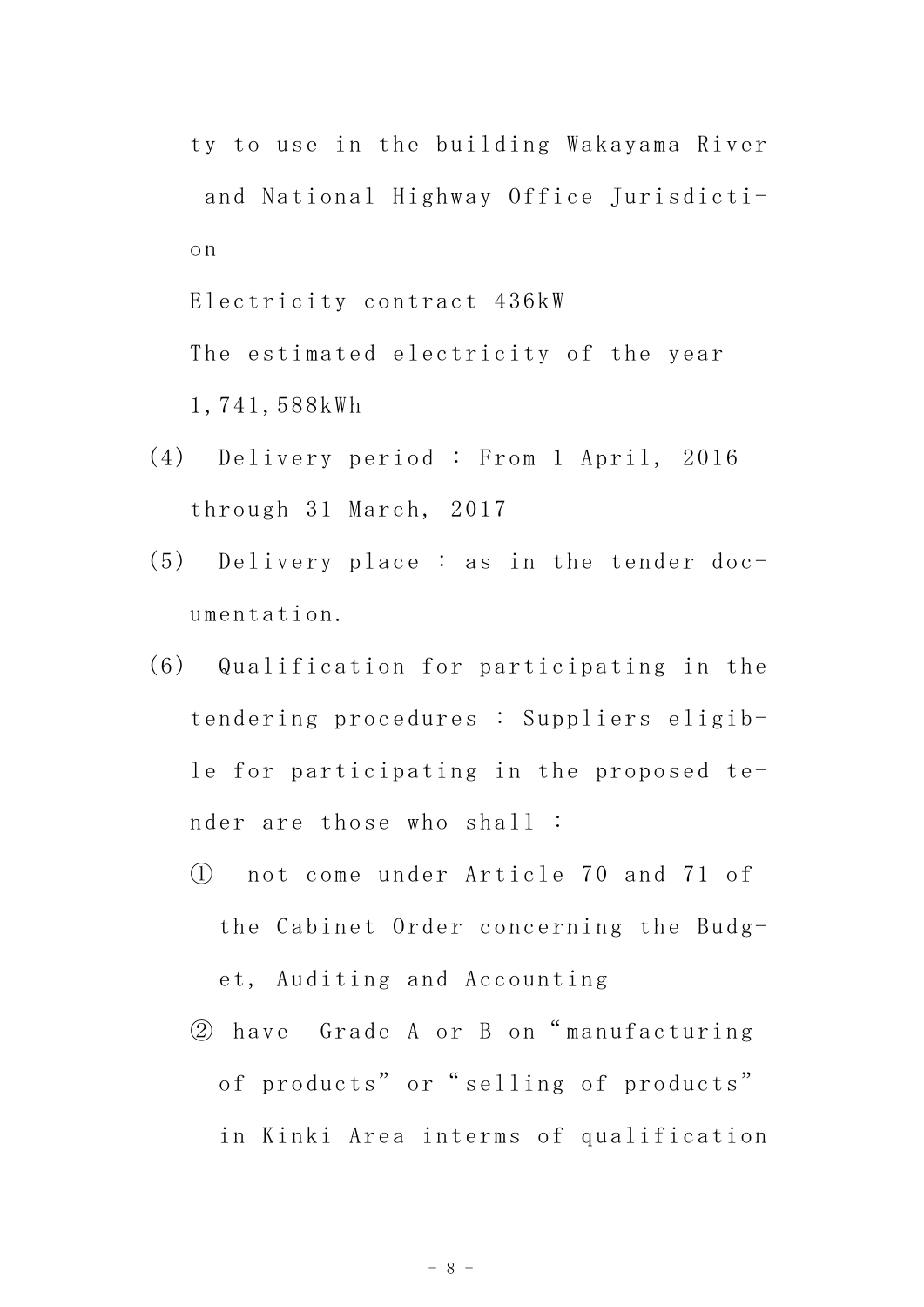ty to use in the building Wakayama River and National Highway Office Jurisdiction

Electricity contract 436kW The estimated electricity of the year

1,741,588kWh

- (4) Delivery period : From 1 April, 2016 through 31 March, 2017
- (5) Delivery place : as in the tender documentation.
- (6) Qualification for participating in the tendering procedures : Suppliers eligible for participating in the proposed tender are those who shall :
	- ① not come under Article 70 and 71 of the Cabinet Order concerning the Budget, Auditing and Accounting
	- ② have Grade A or B on" manufacturing of products" or "selling of products" in Kinki Area interms of qualification

- 8 -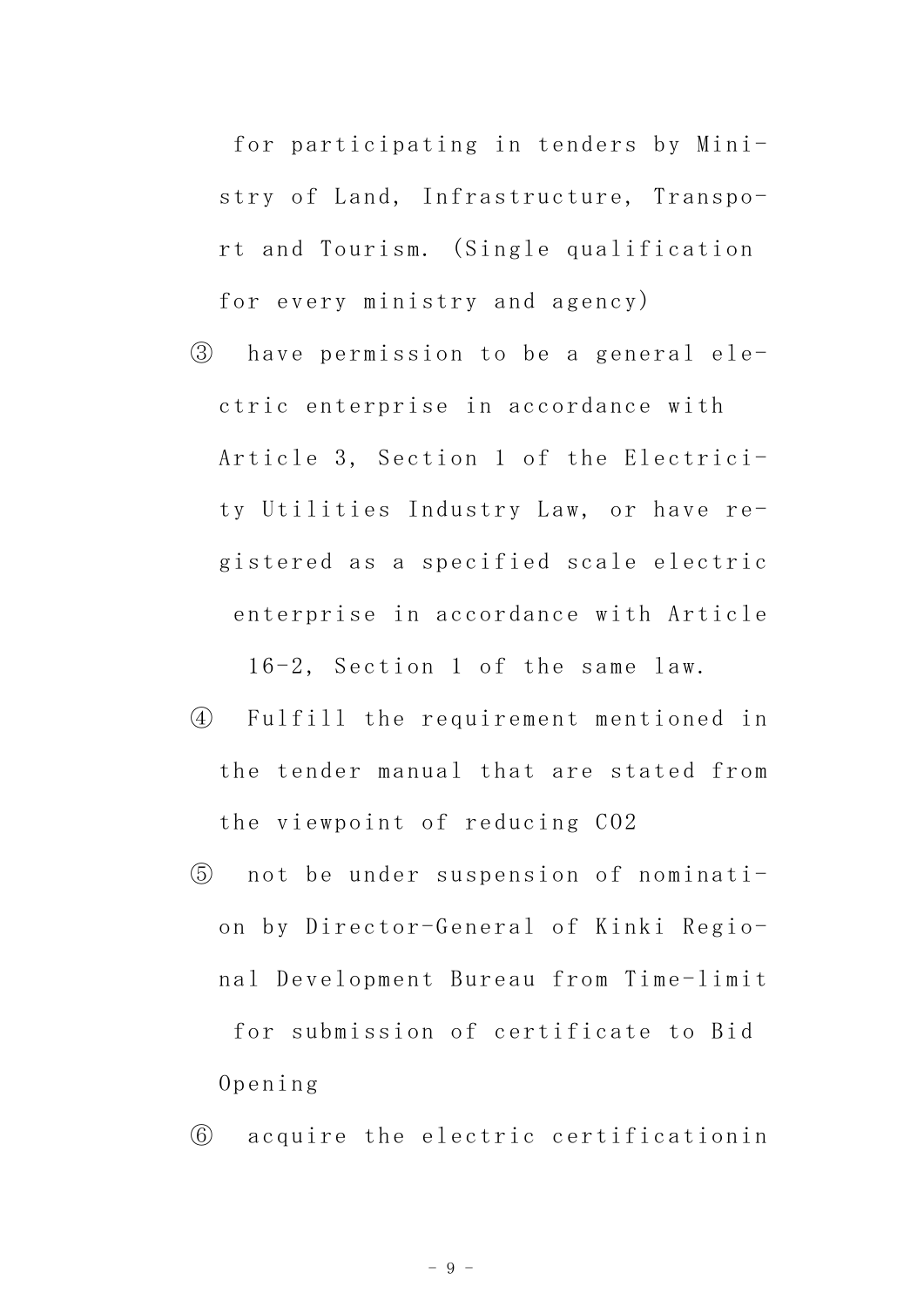for participating in tenders by Ministry of Land, Infrastructure, Transport and Tourism. (Single qualification for every ministry and agency)

③ have permission to be a general electric enterprise in accordance with Article 3, Section 1 of the Electricity Utilities Industry Law, or have registered as a specified scale electric enterprise in accordance with Article

16-2, Section 1 of the same law.

- ④ Fulfill the requirement mentioned in the tender manual that are stated from the viewpoint of reducing CO2
- ⑤ not be under suspension of nomination by Director-General of Kinki Regional Development Bureau from Time-limit for submission of certificate to Bid Opening

⑥ acquire the electric certificationin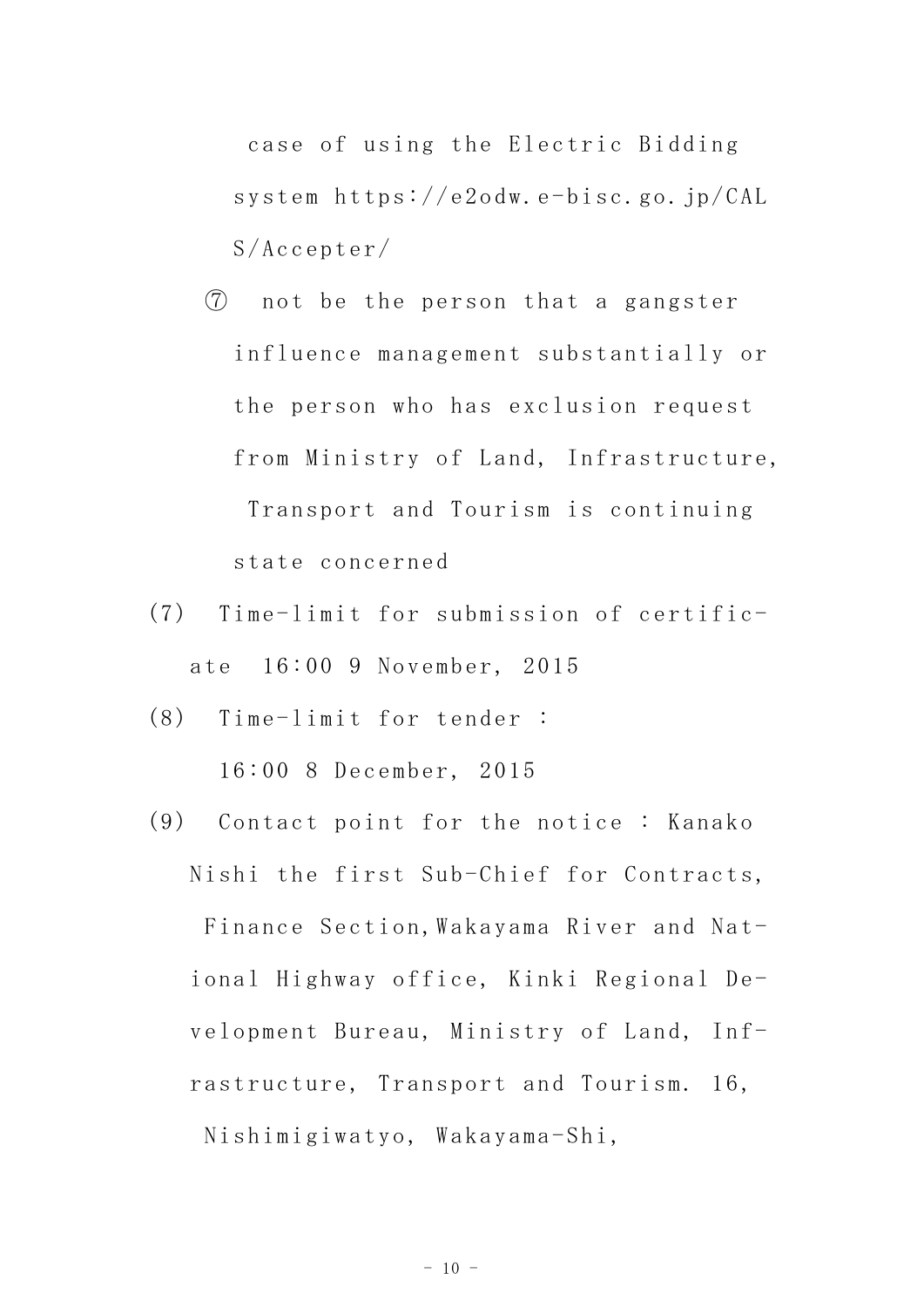case of using the Electric Bidding system https://e2odw.e-bisc.go.jp/CAL S/Accepter/

- ⑦ not be the person that a gangster influence management substantially or the person who has exclusion request from Ministry of Land, Infrastructure, Transport and Tourism is continuing state concerned
- (7) Time-limit for submission of certificate 16:00 9 November, 2015
- (8) Time-limit for tender :

16:00 8 December, 2015

(9) Contact point for the notice : Kanako Nishi the first Sub-Chief for Contracts, Finance Section, Wakayama River and National Highway office, Kinki Regional Development Bureau, Ministry of Land, Infrastructure, Transport and Tourism. 16, Nishimigiwatyo, Wakayama-Shi,